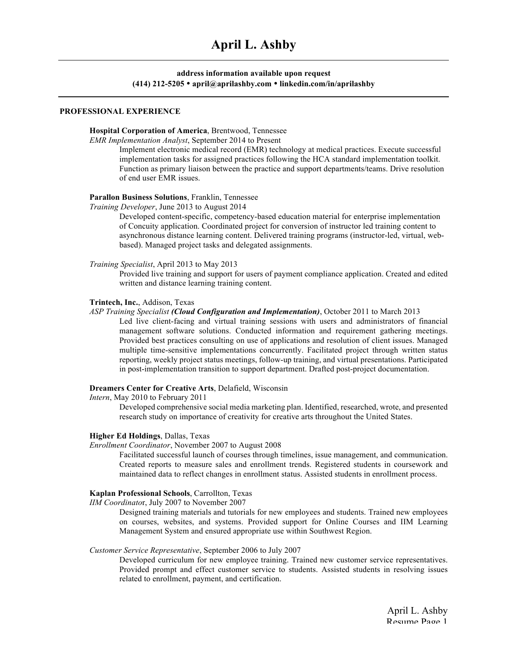# **address information available upon request (414) 212-5205** • **april@aprilashby.com** • **linkedin.com/in/aprilashby**

#### **PROFESSIONAL EXPERIENCE**

#### **Hospital Corporation of America**, Brentwood, Tennessee

*EMR Implementation Analyst*, September 2014 to Present

Implement electronic medical record (EMR) technology at medical practices. Execute successful implementation tasks for assigned practices following the HCA standard implementation toolkit. Function as primary liaison between the practice and support departments/teams. Drive resolution of end user EMR issues.

#### **Parallon Business Solutions**, Franklin, Tennessee

*Training Developer*, June 2013 to August 2014

Developed content-specific, competency-based education material for enterprise implementation of Concuity application. Coordinated project for conversion of instructor led training content to asynchronous distance learning content. Delivered training programs (instructor-led, virtual, webbased). Managed project tasks and delegated assignments.

*Training Specialist*, April 2013 to May 2013

Provided live training and support for users of payment compliance application. Created and edited written and distance learning training content.

## **Trintech, Inc.**, Addison, Texas

# *ASP Training Specialist (Cloud Configuration and Implementation)*, October 2011 to March 2013

Led live client-facing and virtual training sessions with users and administrators of financial management software solutions. Conducted information and requirement gathering meetings. Provided best practices consulting on use of applications and resolution of client issues. Managed multiple time-sensitive implementations concurrently. Facilitated project through written status reporting, weekly project status meetings, follow-up training, and virtual presentations. Participated in post-implementation transition to support department. Drafted post-project documentation.

# **Dreamers Center for Creative Arts**, Delafield, Wisconsin

*Intern*, May 2010 to February 2011

Developed comprehensive social media marketing plan. Identified, researched, wrote, and presented research study on importance of creativity for creative arts throughout the United States.

#### **Higher Ed Holdings**, Dallas, Texas

*Enrollment Coordinator*, November 2007 to August 2008

Facilitated successful launch of courses through timelines, issue management, and communication. Created reports to measure sales and enrollment trends. Registered students in coursework and maintained data to reflect changes in enrollment status. Assisted students in enrollment process.

# **Kaplan Professional Schools**, Carrollton, Texas

*IIM Coordinato*r, July 2007 to November 2007

Designed training materials and tutorials for new employees and students. Trained new employees on courses, websites, and systems. Provided support for Online Courses and IIM Learning Management System and ensured appropriate use within Southwest Region.

#### *Customer Service Representative*, September 2006 to July 2007

Developed curriculum for new employee training. Trained new customer service representatives. Provided prompt and effect customer service to students. Assisted students in resolving issues related to enrollment, payment, and certification.